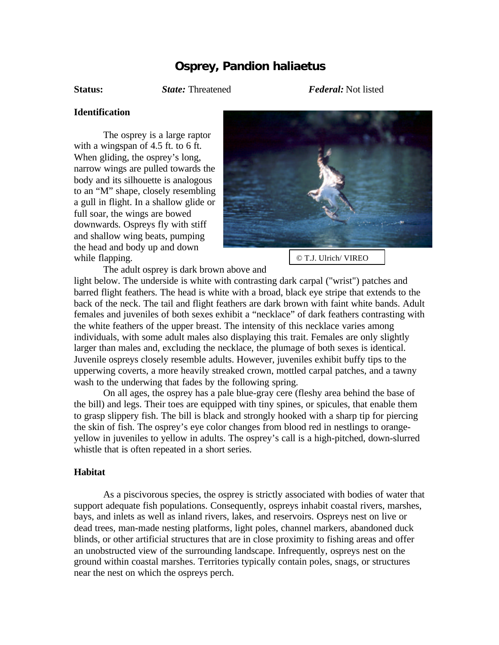## **Osprey,** *Pandion haliaetus*

**Status:** *State:* Threatened *Federal:* Not listed

## **Identification**

The osprey is a large raptor with a wingspan of 4.5 ft. to 6 ft. When gliding, the osprey's long, narrow wings are pulled towards the body and its silhouette is analogous to an "M" shape, closely resembling a gull in flight. In a shallow glide or full soar, the wings are bowed downwards. Ospreys fly with stiff and shallow wing beats, pumping the head and body up and down while flapping.



© T.J. Ulrich/ VIREO

The adult osprey is dark brown above and

light below. The underside is white with contrasting dark carpal ("wrist") patches and barred flight feathers. The head is white with a broad, black eye stripe that extends to the back of the neck. The tail and flight feathers are dark brown with faint white bands. Adult females and juveniles of both sexes exhibit a "necklace" of dark feathers contrasting with the white feathers of the upper breast. The intensity of this necklace varies among individuals, with some adult males also displaying this trait. Females are only slightly larger than males and, excluding the necklace, the plumage of both sexes is identical. Juvenile ospreys closely resemble adults. However, juveniles exhibit buffy tips to the upperwing coverts, a more heavily streaked crown, mottled carpal patches, and a tawny wash to the underwing that fades by the following spring.

On all ages, the osprey has a pale blue-gray cere (fleshy area behind the base of the bill) and legs. Their toes are equipped with tiny spines, or spicules, that enable them to grasp slippery fish. The bill is black and strongly hooked with a sharp tip for piercing the skin of fish. The osprey's eye color changes from blood red in nestlings to orangeyellow in juveniles to yellow in adults. The osprey's call is a high-pitched, down-slurred whistle that is often repeated in a short series.

## **Habitat**

As a piscivorous species, the osprey is strictly associated with bodies of water that support adequate fish populations. Consequently, ospreys inhabit coastal rivers, marshes, bays, and inlets as well as inland rivers, lakes, and reservoirs. Ospreys nest on live or dead trees, man-made nesting platforms, light poles, channel markers, abandoned duck blinds, or other artificial structures that are in close proximity to fishing areas and offer an unobstructed view of the surrounding landscape. Infrequently, ospreys nest on the ground within coastal marshes. Territories typically contain poles, snags, or structures near the nest on which the ospreys perch.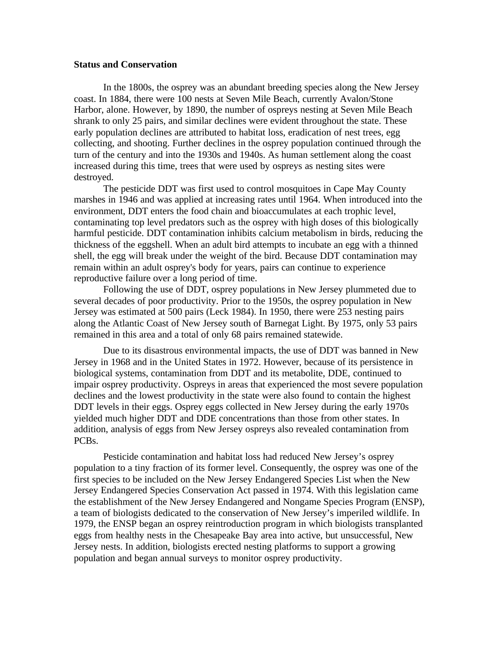## **Status and Conservation**

In the 1800s, the osprey was an abundant breeding species along the New Jersey coast. In 1884, there were 100 nests at Seven Mile Beach, currently Avalon/Stone Harbor, alone. However, by 1890, the number of ospreys nesting at Seven Mile Beach shrank to only 25 pairs, and similar declines were evident throughout the state. These early population declines are attributed to habitat loss, eradication of nest trees, egg collecting, and shooting. Further declines in the osprey population continued through the turn of the century and into the 1930s and 1940s. As human settlement along the coast increased during this time, trees that were used by ospreys as nesting sites were destroyed.

The pesticide DDT was first used to control mosquitoes in Cape May County marshes in 1946 and was applied at increasing rates until 1964. When introduced into the environment, DDT enters the food chain and bioaccumulates at each trophic level, contaminating top level predators such as the osprey with high doses of this biologically harmful pesticide. DDT contamination inhibits calcium metabolism in birds, reducing the thickness of the eggshell. When an adult bird attempts to incubate an egg with a thinned shell, the egg will break under the weight of the bird. Because DDT contamination may remain within an adult osprey's body for years, pairs can continue to experience reproductive failure over a long period of time.

Following the use of DDT, osprey populations in New Jersey plummeted due to several decades of poor productivity. Prior to the 1950s, the osprey population in New Jersey was estimated at 500 pairs (Leck 1984). In 1950, there were 253 nesting pairs along the Atlantic Coast of New Jersey south of Barnegat Light. By 1975, only 53 pairs remained in this area and a total of only 68 pairs remained statewide.

Due to its disastrous environmental impacts, the use of DDT was banned in New Jersey in 1968 and in the United States in 1972. However, because of its persistence in biological systems, contamination from DDT and its metabolite, DDE, continued to impair osprey productivity. Ospreys in areas that experienced the most severe population declines and the lowest productivity in the state were also found to contain the highest DDT levels in their eggs. Osprey eggs collected in New Jersey during the early 1970s yielded much higher DDT and DDE concentrations than those from other states. In addition, analysis of eggs from New Jersey ospreys also revealed contamination from PCBs.

Pesticide contamination and habitat loss had reduced New Jersey's osprey population to a tiny fraction of its former level. Consequently, the osprey was one of the first species to be included on the New Jersey Endangered Species List when the New Jersey Endangered Species Conservation Act passed in 1974. With this legislation came the establishment of the New Jersey Endangered and Nongame Species Program (ENSP), a team of biologists dedicated to the conservation of New Jersey's imperiled wildlife. In 1979, the ENSP began an osprey reintroduction program in which biologists transplanted eggs from healthy nests in the Chesapeake Bay area into active, but unsuccessful, New Jersey nests. In addition, biologists erected nesting platforms to support a growing population and began annual surveys to monitor osprey productivity.